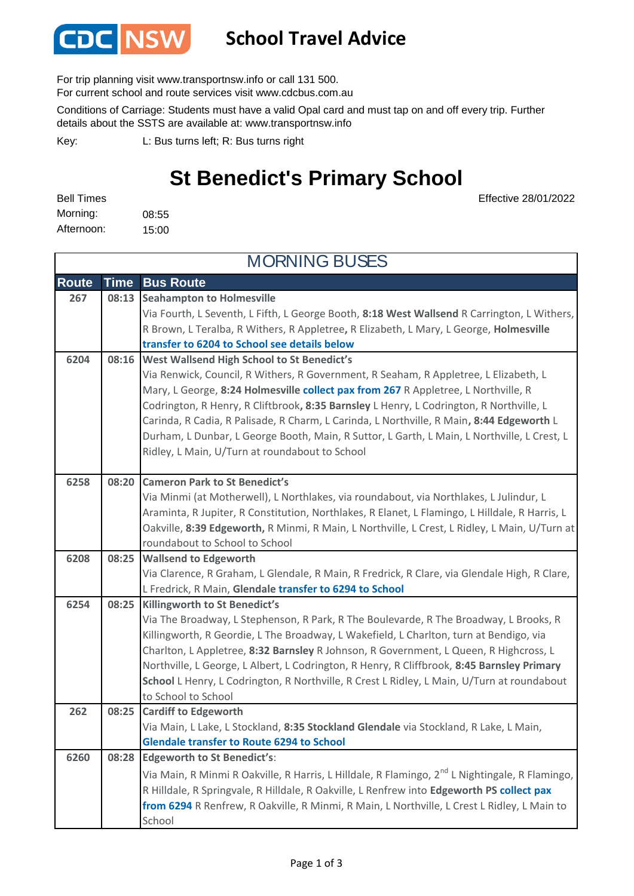

## **School Travel Advice**

For trip planning visit www.transportnsw.info or call 131 500.

For current school and route services visit www.cdcbus.com.au

Conditions of Carriage: Students must have a valid Opal card and must tap on and off every trip. Further details about the SSTS are available at: www.transportnsw.info

L: Bus turns left; R: Bus turns right Key:

## **St Benedict's Primary School**

Effective 28/01/2022

08:55 15:00 Morning: Bell Times Afternoon:

**Route Time Bus Route Seahampton to Holmesville** Via Fourth, L Seventh, L Fifth, L George Booth, **8:18 West Wallsend** R Carrington, L Withers, R Brown, L Teralba, R Withers, R Appletree**,** R Elizabeth, L Mary, L George, **Holmesville transfer to 6204 to School see details below West Wallsend High School to St Benedict's** Via Renwick, Council, R Withers, R Government, R Seaham, R Appletree, L Elizabeth, L Mary, L George, **8:24 Holmesville collect pax from 267** R Appletree, L Northville, R Codrington, R Henry, R Cliftbrook**, 8:35 Barnsley** L Henry, L Codrington, R Northville, L Carinda, R Cadia, R Palisade, R Charm, L Carinda, L Northville, R Main**, 8:44 Edgeworth** L Durham, L Dunbar, L George Booth, Main, R Suttor, L Garth, L Main, L Northville, L Crest, L Ridley, L Main, U/Turn at roundabout to School **Cameron Park to St Benedict's** Via Minmi (at Motherwell), L Northlakes, via roundabout, via Northlakes, L Julindur, L Araminta, R Jupiter, R Constitution, Northlakes, R Elanet, L Flamingo, L Hilldale, R Harris, L Oakville, **8:39 Edgeworth,** R Minmi, R Main, L Northville, L Crest, L Ridley, L Main, U/Turn at roundabout to School to School **Wallsend to Edgeworth** Via Clarence, R Graham, L Glendale, R Main, R Fredrick, R Clare, via Glendale High, R Clare, L Fredrick, R Main, **Glendale transfer to 6294 to School Killingworth to St Benedict's** Via The Broadway, L Stephenson, R Park, R The Boulevarde, R The Broadway, L Brooks, R Killingworth, R Geordie, L The Broadway, L Wakefield, L Charlton, turn at Bendigo, via Charlton, L Appletree, **8:32 Barnsley** R Johnson, R Government, L Queen, R Highcross, L Northville, L George, L Albert, L Codrington, R Henry, R Cliffbrook, **8:45 Barnsley Primary School** L Henry, L Codrington, R Northville, R Crest L Ridley, L Main, U/Turn at roundabout to School to School **Cardiff to Edgeworth** Via Main, L Lake, L Stockland, **8:35 Stockland Glendale** via Stockland, R Lake, L Main, **Glendale transfer to Route 6294 to School Edgeworth to St Benedict's**: Via Main, R Minmi R Oakville, R Harris, L Hilldale, R Flamingo, 2<sup>nd</sup> L Nightingale, R Flamingo, R Hilldale, R Springvale, R Hilldale, R Oakville, L Renfrew into **Edgeworth PS collect pax from 6294** R Renfrew, R Oakville, R Minmi, R Main, L Northville, L Crest L Ridley, L Main to School MORNING BUSES **6260 08:28 267 08:13 6204 08:16 6254 6258 08:20 08:25 6208 08:25 262 08:25**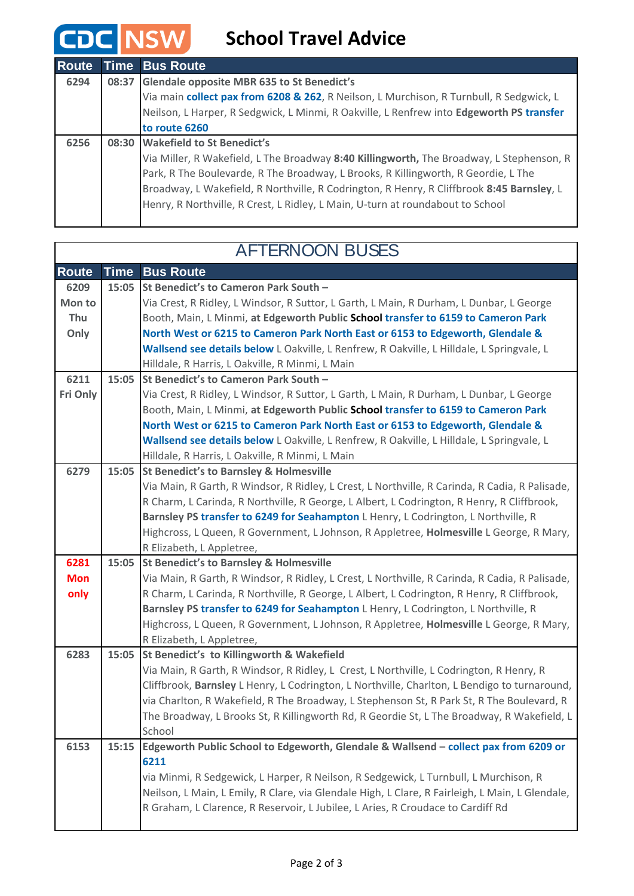## **CDC** NSW School Travel Advice

| <b>Route</b> |       | <b>Time Bus Route</b>                                                                     |
|--------------|-------|-------------------------------------------------------------------------------------------|
| 6294         | 08:37 | <b>Glendale opposite MBR 635 to St Benedict's</b>                                         |
|              |       | Via main collect pax from 6208 & 262, R Neilson, L Murchison, R Turnbull, R Sedgwick, L   |
|              |       | Neilson, L Harper, R Sedgwick, L Minmi, R Oakville, L Renfrew into Edgeworth PS transfer  |
|              |       | to route 6260                                                                             |
| 6256         |       | 08:30 Wakefield to St Benedict's                                                          |
|              |       | Via Miller, R Wakefield, L The Broadway 8:40 Killingworth, The Broadway, L Stephenson, R  |
|              |       | Park, R The Boulevarde, R The Broadway, L Brooks, R Killingworth, R Geordie, L The        |
|              |       | Broadway, L Wakefield, R Northville, R Codrington, R Henry, R Cliffbrook 8:45 Barnsley, L |
|              |       | Henry, R Northville, R Crest, L Ridley, L Main, U-turn at roundabout to School            |
|              |       |                                                                                           |

 $\Gamma$ 

┑

| <b>AFTERNOON BUSES</b> |             |                                                                                                 |  |  |
|------------------------|-------------|-------------------------------------------------------------------------------------------------|--|--|
| <b>Route</b>           | <b>Time</b> | <b>Bus Route</b>                                                                                |  |  |
| 6209                   | 15:05       | St Benedict's to Cameron Park South -                                                           |  |  |
| Mon to                 |             | Via Crest, R Ridley, L Windsor, R Suttor, L Garth, L Main, R Durham, L Dunbar, L George         |  |  |
| Thu                    |             | Booth, Main, L Minmi, at Edgeworth Public School transfer to 6159 to Cameron Park               |  |  |
| Only                   |             | North West or 6215 to Cameron Park North East or 6153 to Edgeworth, Glendale &                  |  |  |
|                        |             | Wallsend see details below L Oakville, L Renfrew, R Oakville, L Hilldale, L Springvale, L       |  |  |
|                        |             | Hilldale, R Harris, L Oakville, R Minmi, L Main                                                 |  |  |
| 6211                   | 15:05       | St Benedict's to Cameron Park South -                                                           |  |  |
| Fri Only               |             | Via Crest, R Ridley, L Windsor, R Suttor, L Garth, L Main, R Durham, L Dunbar, L George         |  |  |
|                        |             | Booth, Main, L Minmi, at Edgeworth Public School transfer to 6159 to Cameron Park               |  |  |
|                        |             | North West or 6215 to Cameron Park North East or 6153 to Edgeworth, Glendale &                  |  |  |
|                        |             | Wallsend see details below L Oakville, L Renfrew, R Oakville, L Hilldale, L Springvale, L       |  |  |
|                        |             | Hilldale, R Harris, L Oakville, R Minmi, L Main                                                 |  |  |
| 6279                   | 15:05       | <b>St Benedict's to Barnsley &amp; Holmesville</b>                                              |  |  |
|                        |             | Via Main, R Garth, R Windsor, R Ridley, L Crest, L Northville, R Carinda, R Cadia, R Palisade,  |  |  |
|                        |             | R Charm, L Carinda, R Northville, R George, L Albert, L Codrington, R Henry, R Cliffbrook,      |  |  |
|                        |             | Barnsley PS transfer to 6249 for Seahampton L Henry, L Codrington, L Northville, R              |  |  |
|                        |             | Highcross, L Queen, R Government, L Johnson, R Appletree, Holmesville L George, R Mary,         |  |  |
|                        |             | R Elizabeth, L Appletree,                                                                       |  |  |
| 6281                   | 15:05       | <b>St Benedict's to Barnsley &amp; Holmesville</b>                                              |  |  |
| <b>Mon</b>             |             | Via Main, R Garth, R Windsor, R Ridley, L Crest, L Northville, R Carinda, R Cadia, R Palisade,  |  |  |
| only                   |             | R Charm, L Carinda, R Northville, R George, L Albert, L Codrington, R Henry, R Cliffbrook,      |  |  |
|                        |             | Barnsley PS transfer to 6249 for Seahampton L Henry, L Codrington, L Northville, R              |  |  |
|                        |             | Highcross, L Queen, R Government, L Johnson, R Appletree, Holmesville L George, R Mary,         |  |  |
|                        |             | R Elizabeth, L Appletree,                                                                       |  |  |
| 6283                   | 15:05       | St Benedict's to Killingworth & Wakefield                                                       |  |  |
|                        |             | Via Main, R Garth, R Windsor, R Ridley, L Crest, L Northville, L Codrington, R Henry, R         |  |  |
|                        |             | Cliffbrook, Barnsley L Henry, L Codrington, L Northville, Charlton, L Bendigo to turnaround,    |  |  |
|                        |             | via Charlton, R Wakefield, R The Broadway, L Stephenson St, R Park St, R The Boulevard, R       |  |  |
|                        |             | The Broadway, L Brooks St, R Killingworth Rd, R Geordie St, L The Broadway, R Wakefield, L      |  |  |
|                        |             | School                                                                                          |  |  |
| 6153                   | 15:15       | Edgeworth Public School to Edgeworth, Glendale & Wallsend - collect pax from 6209 or            |  |  |
|                        |             | 6211                                                                                            |  |  |
|                        |             | via Minmi, R Sedgewick, L Harper, R Neilson, R Sedgewick, L Turnbull, L Murchison, R            |  |  |
|                        |             | Neilson, L Main, L Emily, R Clare, via Glendale High, L Clare, R Fairleigh, L Main, L Glendale, |  |  |
|                        |             | R Graham, L Clarence, R Reservoir, L Jubilee, L Aries, R Croudace to Cardiff Rd                 |  |  |
|                        |             |                                                                                                 |  |  |